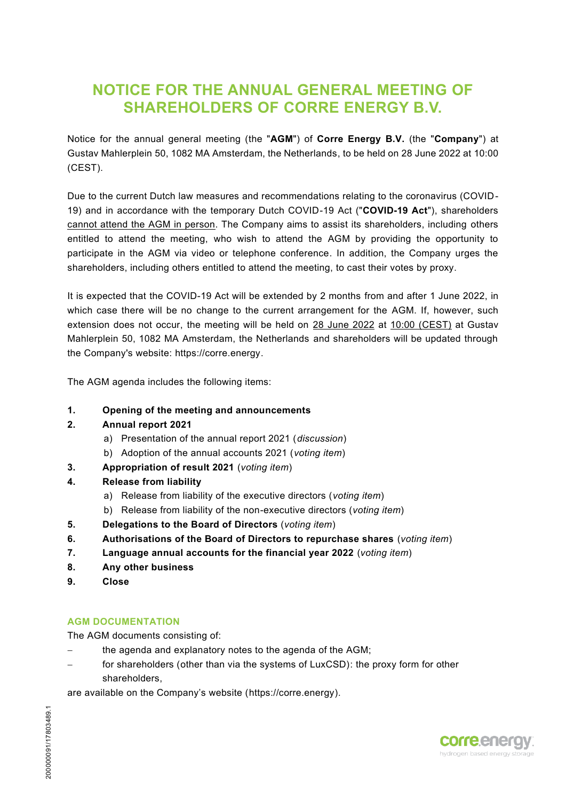## **NOTICE FOR THE ANNUAL GENERAL MEETING OF SHAREHOLDERS OF CORRE ENERGY B.V.**

Notice for the annual general meeting (the "**AGM**") of **Corre Energy B.V.** (the "**Company**") at Gustav Mahlerplein 50, 1082 MA Amsterdam, the Netherlands, to be held on 28 June 2022 at 10:00 (CEST).

Due to the current Dutch law measures and recommendations relating to the coronavirus (COVID-19) and in accordance with the temporary Dutch COVID-19 Act ("**COVID-19 Act**"), shareholders cannot attend the AGM in person. The Company aims to assist its shareholders, including others entitled to attend the meeting, who wish to attend the AGM by providing the opportunity to participate in the AGM via video or telephone conference. In addition, the Company urges the shareholders, including others entitled to attend the meeting, to cast their votes by proxy.

It is expected that the COVID-19 Act will be extended by 2 months from and after 1 June 2022, in which case there will be no change to the current arrangement for the AGM. If, however, such extension does not occur, the meeting will be held on 28 June 2022 at 10:00 (CEST) at Gustav Mahlerplein 50, 1082 MA Amsterdam, the Netherlands and shareholders will be updated through the Company's website: https://corre.energy.

The AGM agenda includes the following items:

#### **1. Opening of the meeting and announcements**

#### **2. Annual report 2021**

- a) Presentation of the annual report 2021 (*discussion*)
- b) Adoption of the annual accounts 2021 (*voting item*)
- **3. Appropriation of result 2021** (*voting item*)
- **4. Release from liability**
	- a) Release from liability of the executive directors (*voting item*)
	- b) Release from liability of the non-executive directors (*voting item*)
- **5. Delegations to the Board of Directors** (*voting item*)
- **6. Authorisations of the Board of Directors to repurchase shares** (*voting item*)
- **7. Language annual accounts for the financial year 2022** (*voting item*)
- **8. Any other business**
- **9. Close**

#### **AGM DOCUMENTATION**

The AGM documents consisting of:

- the agenda and explanatory notes to the agenda of the AGM;
- for shareholders (other than via the systems of LuxCSD): the proxy form for other shareholders,

are available on the Company's website (https://corre.energy).

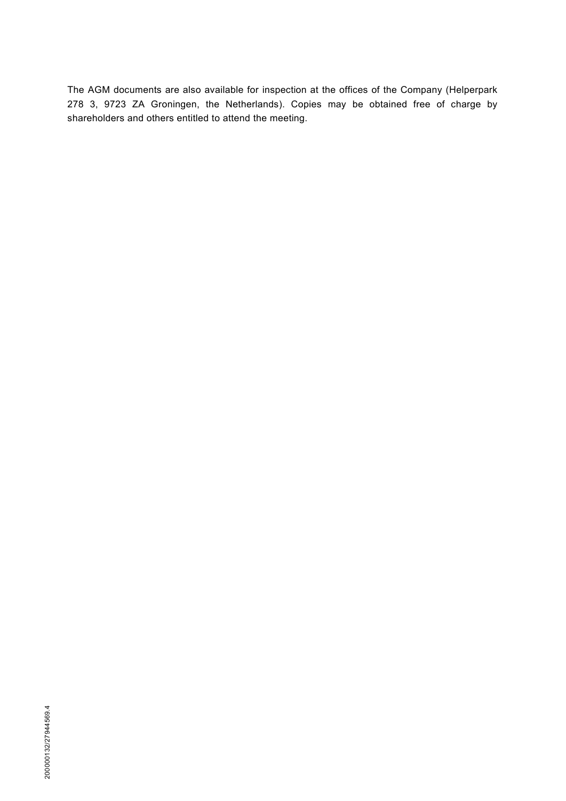The AGM documents are also available for inspection at the offices of the Company (Helperpark 278 3, 9723 ZA Groningen, the Netherlands). Copies may be obtained free of charge by shareholders and others entitled to attend the meeting.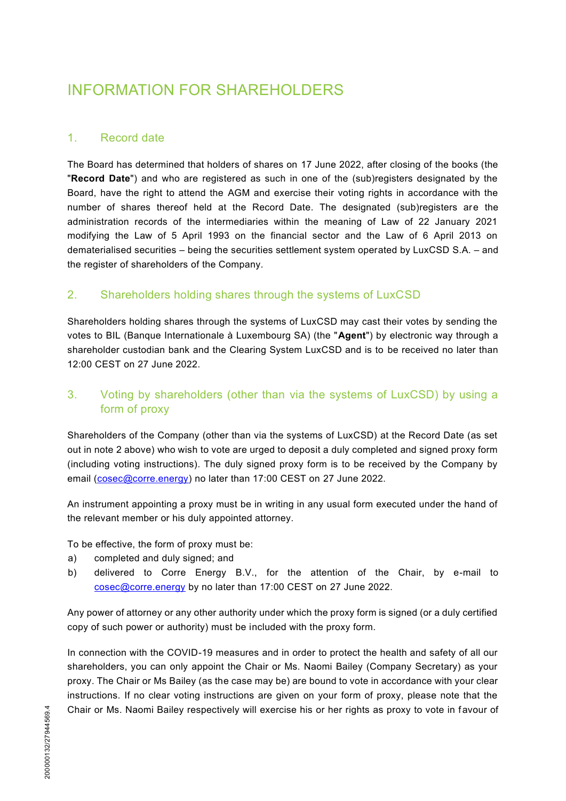# INFORMATION FOR SHAREHOLDERS

#### 1. Record date

The Board has determined that holders of shares on 17 June 2022, after closing of the books (the "**Record Date**") and who are registered as such in one of the (sub)registers designated by the Board, have the right to attend the AGM and exercise their voting rights in accordance with the number of shares thereof held at the Record Date. The designated (sub)registers are the administration records of the intermediaries within the meaning of Law of 22 January 2021 modifying the Law of 5 April 1993 on the financial sector and the Law of 6 April 2013 on dematerialised securities – being the securities settlement system operated by LuxCSD S.A. – and the register of shareholders of the Company.

#### 2. Shareholders holding shares through the systems of LuxCSD

Shareholders holding shares through the systems of LuxCSD may cast their votes by sending the votes to BIL (Banque Internationale à Luxembourg SA) (the "**Agent**") by electronic way through a shareholder custodian bank and the Clearing System LuxCSD and is to be received no later than 12:00 CEST on 27 June 2022.

## 3. Voting by shareholders (other than via the systems of LuxCSD) by using a form of proxy

Shareholders of the Company (other than via the systems of LuxCSD) at the Record Date (as set out in note 2 above) who wish to vote are urged to deposit a duly completed and signed proxy form (including voting instructions). The duly signed proxy form is to be received by the Company by email (cosec@corre.energy) no later than 17:00 CEST on 27 June 2022.

An instrument appointing a proxy must be in writing in any usual form executed under the hand of the relevant member or his duly appointed attorney.

To be effective, the form of proxy must be:

- a) completed and duly signed; and
- b) delivered to Corre Energy B.V., for the attention of the Chair, by e-mail to cosec@corre.energy by no later than 17:00 CEST on 27 June 2022.

Any power of attorney or any other authority under which the proxy form is signed (or a duly certified copy of such power or authority) must be included with the proxy form.

In connection with the COVID-19 measures and in order to protect the health and safety of all our shareholders, you can only appoint the Chair or Ms. Naomi Bailey (Company Secretary) as your proxy. The Chair or Ms Bailey (as the case may be) are bound to vote in accordance with your clear instructions. If no clear voting instructions are given on your form of proxy, please note that the Chair or Ms. Naomi Bailey respectively will exercise his or her rights as proxy to vote in f avour of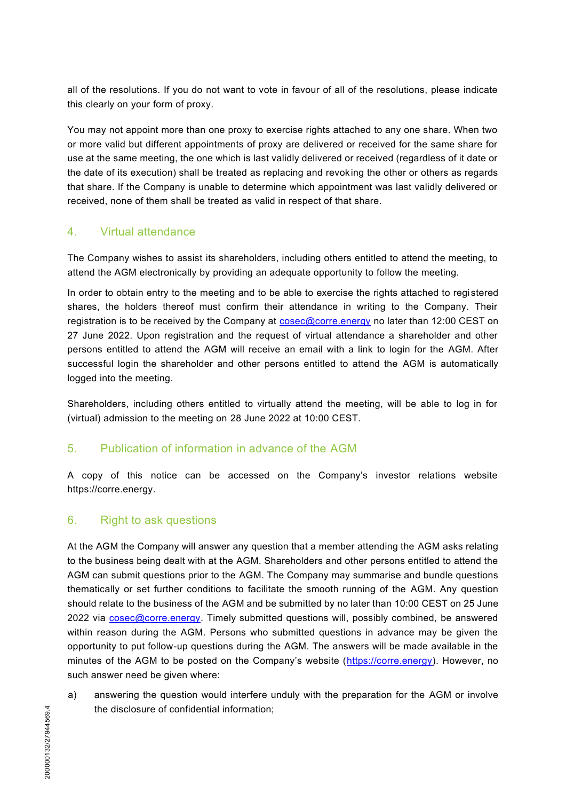all of the resolutions. If you do not want to vote in favour of all of the resolutions, please indicate this clearly on your form of proxy.

You may not appoint more than one proxy to exercise rights attached to any one share. When two or more valid but different appointments of proxy are delivered or received for the same share for use at the same meeting, the one which is last validly delivered or received (regardless of it date or the date of its execution) shall be treated as replacing and revoking the other or others as regards that share. If the Company is unable to determine which appointment was last validly delivered or received, none of them shall be treated as valid in respect of that share.

## 4. Virtual attendance

The Company wishes to assist its shareholders, including others entitled to attend the meeting, to attend the AGM electronically by providing an adequate opportunity to follow the meeting.

In order to obtain entry to the meeting and to be able to exercise the rights attached to registered shares, the holders thereof must confirm their attendance in writing to the Company. Their registration is to be received by the Company at  $cosec@core.energy$  no later than 12:00 CEST on 27 June 2022. Upon registration and the request of virtual attendance a shareholder and other persons entitled to attend the AGM will receive an email with a link to login for the AGM. After successful login the shareholder and other persons entitled to attend the AGM is automatically logged into the meeting.

Shareholders, including others entitled to virtually attend the meeting, will be able to log in for (virtual) admission to the meeting on 28 June 2022 at 10:00 CEST.

## 5. Publication of information in advance of the AGM

A copy of this notice can be accessed on the Company's investor relations website https://corre.energy.

#### 6. Right to ask questions

At the AGM the Company will answer any question that a member attending the AGM asks relating to the business being dealt with at the AGM. Shareholders and other persons entitled to attend the AGM can submit questions prior to the AGM. The Company may summarise and bundle questions thematically or set further conditions to facilitate the smooth running of the AGM. Any question should relate to the business of the AGM and be submitted by no later than 10:00 CEST on 25 June 2022 via cosec@corre.energy. Timely submitted questions will, possibly combined, be answered within reason during the AGM. Persons who submitted questions in advance may be given the opportunity to put follow-up questions during the AGM. The answers will be made available in the minutes of the AGM to be posted on the Company's website ([https://corre.energy\)](https://corre.energy/). However, no such answer need be given where:

a) answering the question would interfere unduly with the preparation for the AGM or involve the disclosure of confidential information;